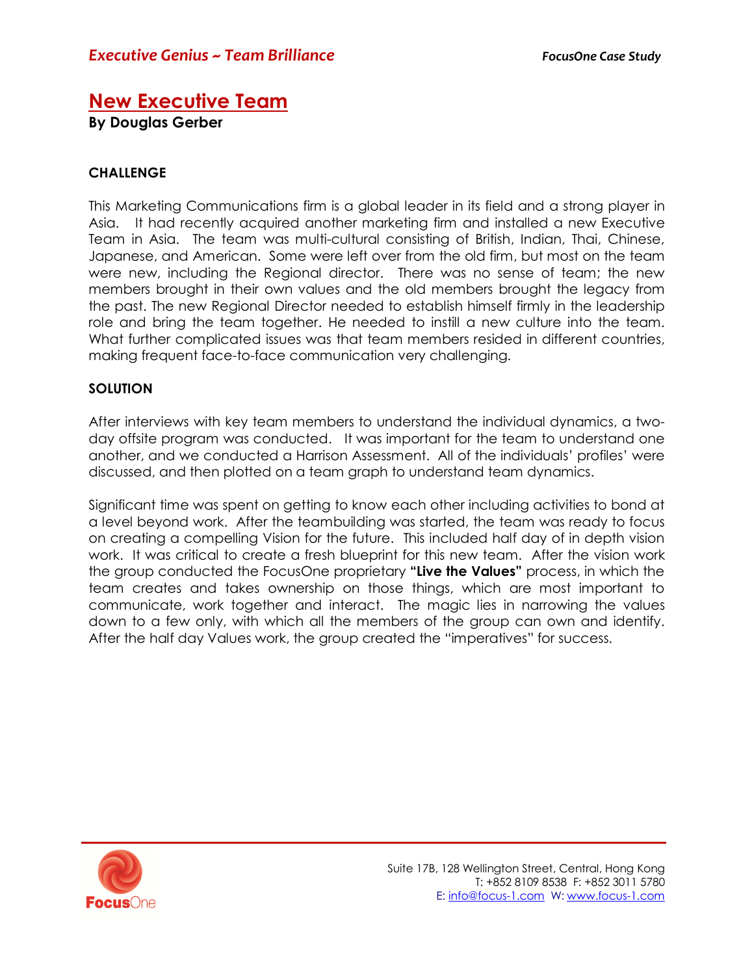## **New Executive Team**

**By Douglas Gerber** 

## **CHALLENGE**

This Marketing Communications firm is a global leader in its field and a strong player in Asia. It had recently acquired another marketing firm and installed a new Executive Team in Asia. The team was multi-cultural consisting of British, Indian, Thai, Chinese, Japanese, and American. Some were left over from the old firm, but most on the team were new, including the Regional director. There was no sense of team; the new members brought in their own values and the old members brought the legacy from the past. The new Regional Director needed to establish himself firmly in the leadership role and bring the team together. He needed to instill a new culture into the team. What further complicated issues was that team members resided in different countries, making frequent face-to-face communication very challenging.

## **SOLUTION**

After interviews with key team members to understand the individual dynamics, a twoday offsite program was conducted. It was important for the team to understand one another, and we conducted a Harrison Assessment. All of the individuals' profiles' were discussed, and then plotted on a team graph to understand team dynamics.

Significant time was spent on getting to know each other including activities to bond at a level beyond work. After the teambuilding was started, the team was ready to focus on creating a compelling Vision for the future. This included half day of in depth vision work. It was critical to create a fresh blueprint for this new team. After the vision work the group conducted the FocusOne proprietary **"Live the Values"** process, in which the team creates and takes ownership on those things, which are most important to communicate, work together and interact. The magic lies in narrowing the values down to a few only, with which all the members of the group can own and identify. After the half day Values work, the group created the "imperatives" for success.